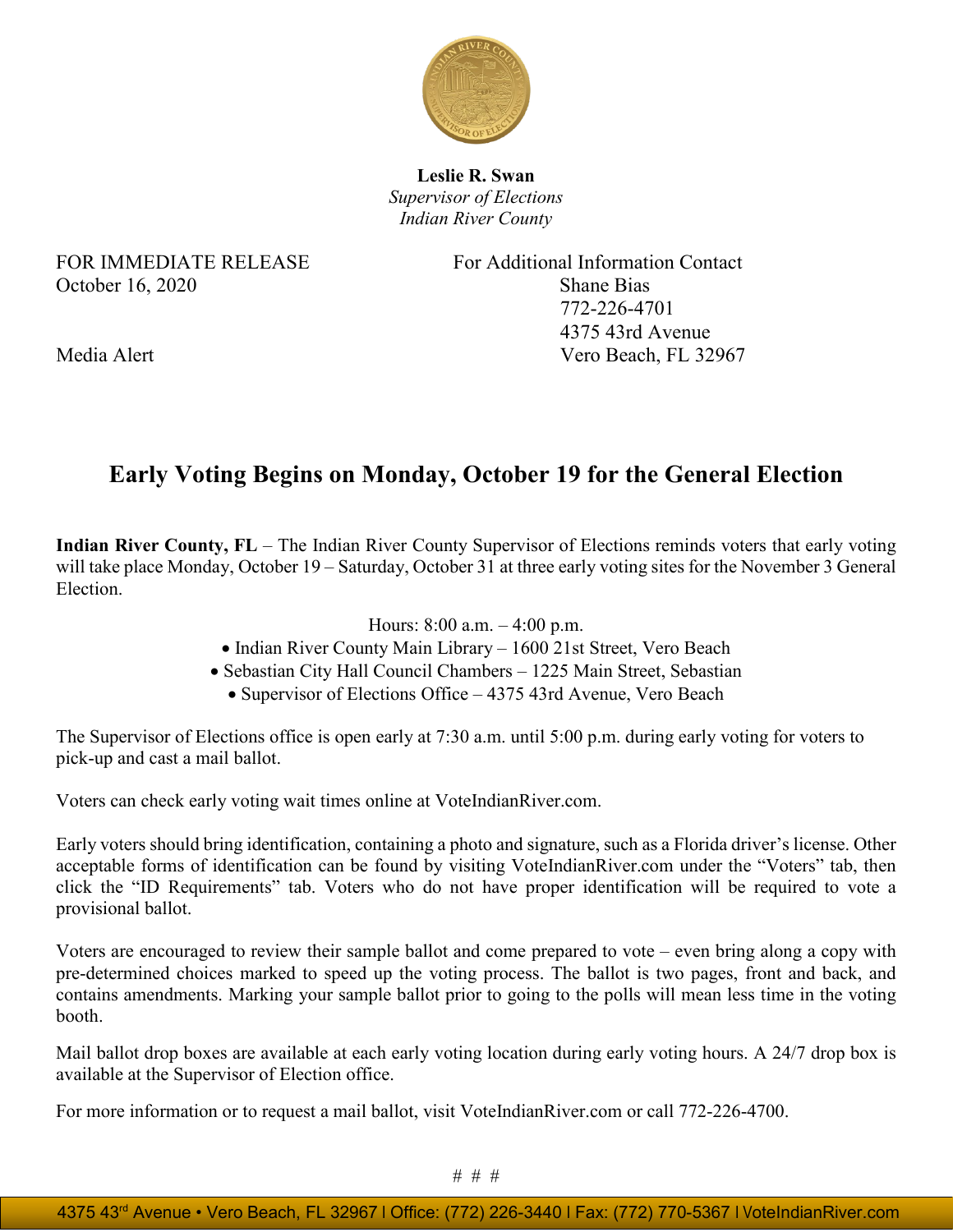

**Leslie R. Swan** *Supervisor of Elections Indian River County*

## October 16, 2020 Shane Bias

FOR IMMEDIATE RELEASE For Additional Information Contact 772-226-4701 4375 43rd Avenue Media Alert Vero Beach, FL 32967

## **Early Voting Begins on Monday, October 19 for the General Election**

**Indian River County, FL** – The Indian River County Supervisor of Elections reminds voters that early voting will take place Monday, October 19 – Saturday, October 31 at three early voting sites for the November 3 General Election.

- Hours: 8:00 a.m. 4:00 p.m.
- Indian River County Main Library 1600 21st Street, Vero Beach
- Sebastian City Hall Council Chambers 1225 Main Street, Sebastian
	- Supervisor of Elections Office 4375 43rd Avenue, Vero Beach

The Supervisor of Elections office is open early at 7:30 a.m. until 5:00 p.m. during early voting for voters to pick-up and cast a mail ballot.

Voters can check early voting wait times online at VoteIndianRiver.com.

Early voters should bring identification, containing a photo and signature, such as a Florida driver's license. Other acceptable forms of identification can be found by visiting VoteIndianRiver.com under the "Voters" tab, then click the "ID Requirements" tab. Voters who do not have proper identification will be required to vote a provisional ballot.

Voters are encouraged to review their sample ballot and come prepared to vote – even bring along a copy with pre-determined choices marked to speed up the voting process. The ballot is two pages, front and back, and contains amendments. Marking your sample ballot prior to going to the polls will mean less time in the voting booth.

Mail ballot drop boxes are available at each early voting location during early voting hours. A 24/7 drop box is available at the Supervisor of Election office.

For more information or to request a mail ballot, visit VoteIndianRiver.com or call 772-226-4700.

# # #